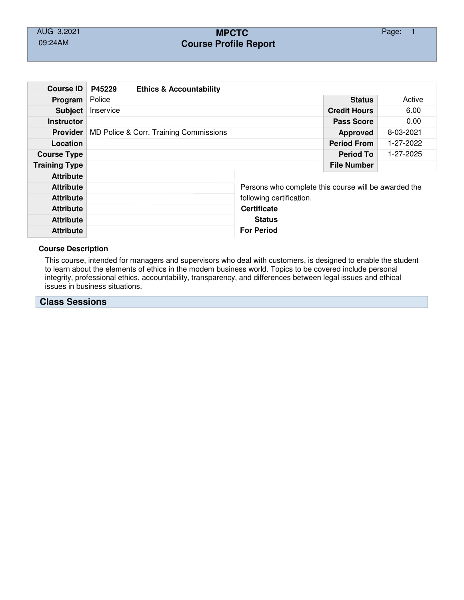# AUG 3,2021 **MPCTC** Page: 1 09:24AM **Course Profile Report**

| <b>Course ID</b>     | P45229                                 | <b>Ethics &amp; Accountability</b> |                     |                                                      |                    |           |  |  |
|----------------------|----------------------------------------|------------------------------------|---------------------|------------------------------------------------------|--------------------|-----------|--|--|
| Program              | Police                                 |                                    |                     |                                                      | <b>Status</b>      | Active    |  |  |
| <b>Subject</b>       | Inservice                              |                                    | <b>Credit Hours</b> | 6.00                                                 |                    |           |  |  |
| <b>Instructor</b>    |                                        |                                    | <b>Pass Score</b>   | 0.00                                                 |                    |           |  |  |
| <b>Provider</b>      | MD Police & Corr. Training Commissions |                                    |                     |                                                      | <b>Approved</b>    | 8-03-2021 |  |  |
| Location             |                                        |                                    |                     |                                                      | <b>Period From</b> | 1-27-2022 |  |  |
| <b>Course Type</b>   |                                        |                                    |                     |                                                      | <b>Period To</b>   | 1-27-2025 |  |  |
| <b>Training Type</b> |                                        |                                    |                     |                                                      | <b>File Number</b> |           |  |  |
| <b>Attribute</b>     |                                        |                                    |                     |                                                      |                    |           |  |  |
| <b>Attribute</b>     |                                        |                                    |                     | Persons who complete this course will be awarded the |                    |           |  |  |
| <b>Attribute</b>     |                                        |                                    |                     | following certification.                             |                    |           |  |  |
| <b>Attribute</b>     |                                        |                                    |                     | <b>Certificate</b>                                   |                    |           |  |  |
| <b>Attribute</b>     |                                        |                                    |                     | <b>Status</b>                                        |                    |           |  |  |
| <b>Attribute</b>     |                                        |                                    |                     | <b>For Period</b>                                    |                    |           |  |  |

### **Course Description**

This course, intended for managers and supervisors who deal with customers, is designed to enable the student to learn about the elements of ethics in the modem business world. Topics to be covered include personal integrity, professional ethics, accountability, transparency, and differences between legal issues and ethical issues in business situations.

## **Class Sessions**